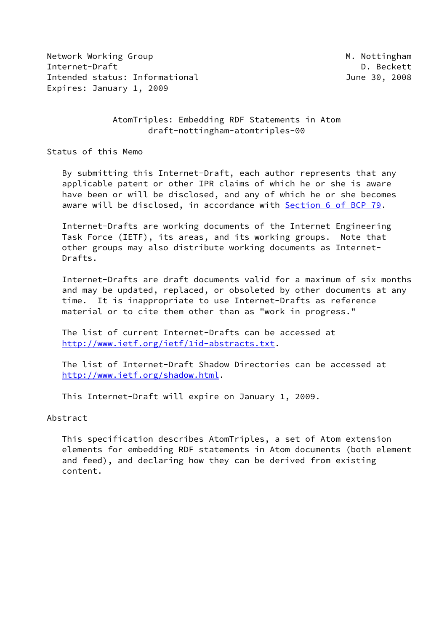Network Working Group Method Muslim Muslim Muslim Muslim Muslim Muslim Muslim Muslim Muslim Muslim Muslim Musl Internet-Draft D. Beckett Intended status: Informational June 30, 2008 Expires: January 1, 2009

 AtomTriples: Embedding RDF Statements in Atom draft-nottingham-atomtriples-00

Status of this Memo

 By submitting this Internet-Draft, each author represents that any applicable patent or other IPR claims of which he or she is aware have been or will be disclosed, and any of which he or she becomes aware will be disclosed, in accordance with Section [6 of BCP 79.](https://datatracker.ietf.org/doc/pdf/bcp79#section-6)

 Internet-Drafts are working documents of the Internet Engineering Task Force (IETF), its areas, and its working groups. Note that other groups may also distribute working documents as Internet- Drafts.

 Internet-Drafts are draft documents valid for a maximum of six months and may be updated, replaced, or obsoleted by other documents at any time. It is inappropriate to use Internet-Drafts as reference material or to cite them other than as "work in progress."

 The list of current Internet-Drafts can be accessed at <http://www.ietf.org/ietf/1id-abstracts.txt>.

 The list of Internet-Draft Shadow Directories can be accessed at <http://www.ietf.org/shadow.html>.

This Internet-Draft will expire on January 1, 2009.

Abstract

 This specification describes AtomTriples, a set of Atom extension elements for embedding RDF statements in Atom documents (both element and feed), and declaring how they can be derived from existing content.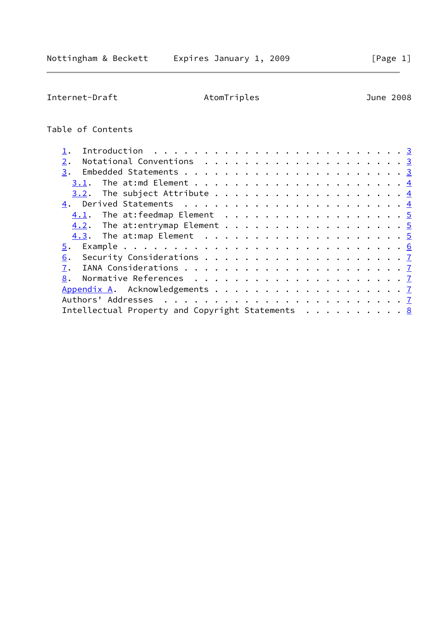Internet-Draft AtomTriples June 2008

## Table of Contents

| Notational Conventions $\cdots$ 3<br>2.          |  |
|--------------------------------------------------|--|
| 3.                                               |  |
| 3.1.                                             |  |
|                                                  |  |
|                                                  |  |
|                                                  |  |
|                                                  |  |
|                                                  |  |
|                                                  |  |
| 6.                                               |  |
| 7.                                               |  |
| 8.                                               |  |
|                                                  |  |
|                                                  |  |
| Intellectual Property and Copyright Statements 8 |  |
|                                                  |  |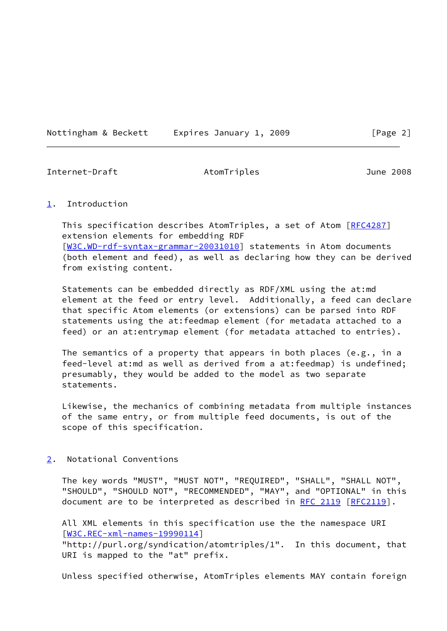Nottingham & Beckett Expires January 1, 2009 [Page 2]

<span id="page-2-1"></span>Internet-Draft AtomTriples June 2008

<span id="page-2-0"></span>[1](#page-2-0). Introduction

This specification describes AtomTriples, a set of Atom [\[RFC4287](https://datatracker.ietf.org/doc/pdf/rfc4287)] extension elements for embedding RDF [\[W3C.WD-rdf-syntax-grammar-20031010\]](#page-7-3) statements in Atom documents (both element and feed), as well as declaring how they can be derived from existing content.

 Statements can be embedded directly as RDF/XML using the at:md element at the feed or entry level. Additionally, a feed can declare that specific Atom elements (or extensions) can be parsed into RDF statements using the at:feedmap element (for metadata attached to a feed) or an at: entrymap element (for metadata attached to entries).

 The semantics of a property that appears in both places (e.g., in a feed-level at:md as well as derived from a at:feedmap) is undefined; presumably, they would be added to the model as two separate statements.

 Likewise, the mechanics of combining metadata from multiple instances of the same entry, or from multiple feed documents, is out of the scope of this specification.

<span id="page-2-2"></span>[2](#page-2-2). Notational Conventions

 The key words "MUST", "MUST NOT", "REQUIRED", "SHALL", "SHALL NOT", "SHOULD", "SHOULD NOT", "RECOMMENDED", "MAY", and "OPTIONAL" in this document are to be interpreted as described in [RFC 2119 \[RFC2119](https://datatracker.ietf.org/doc/pdf/rfc2119)].

 All XML elements in this specification use the the namespace URI [\[W3C.REC-xml-names-19990114\]](#page-7-4)

 "http://purl.org/syndication/atomtriples/1". In this document, that URI is mapped to the "at" prefix.

Unless specified otherwise, AtomTriples elements MAY contain foreign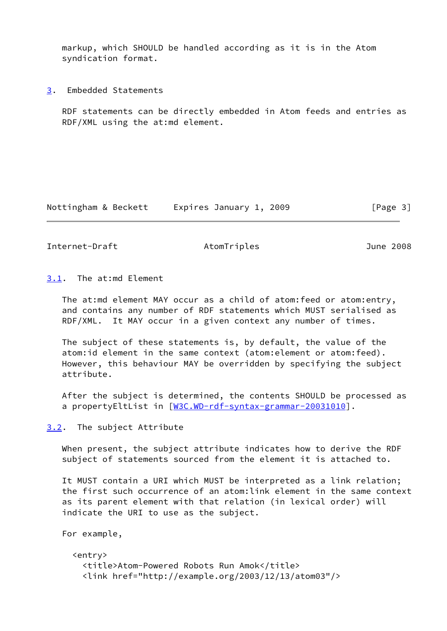markup, which SHOULD be handled according as it is in the Atom syndication format.

<span id="page-3-0"></span>[3](#page-3-0). Embedded Statements

 RDF statements can be directly embedded in Atom feeds and entries as RDF/XML using the at:md element.

Nottingham & Beckett Expires January 1, 2009 [Page 3]

<span id="page-3-2"></span>Internet-Draft AtomTriples June 2008

<span id="page-3-1"></span>[3.1](#page-3-1). The at:md Element

 The at:md element MAY occur as a child of atom:feed or atom:entry, and contains any number of RDF statements which MUST serialised as RDF/XML. It MAY occur in a given context any number of times.

 The subject of these statements is, by default, the value of the atom:id element in the same context (atom:element or atom:feed). However, this behaviour MAY be overridden by specifying the subject attribute.

 After the subject is determined, the contents SHOULD be processed as a propertyEltList in [\[W3C.WD-rdf-syntax-grammar-20031010\]](#page-7-3).

<span id="page-3-3"></span>[3.2](#page-3-3). The subject Attribute

 When present, the subject attribute indicates how to derive the RDF subject of statements sourced from the element it is attached to.

 It MUST contain a URI which MUST be interpreted as a link relation; the first such occurrence of an atom:link element in the same context as its parent element with that relation (in lexical order) will indicate the URI to use as the subject.

```
 For example,
   <entry>
     <title>Atom-Powered Robots Run Amok</title>
     <link href="http://example.org/2003/12/13/atom03"/>
```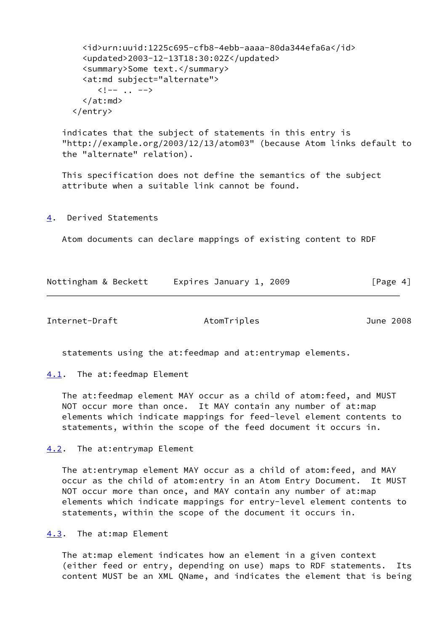```
 <id>urn:uuid:1225c695-cfb8-4ebb-aaaa-80da344efa6a</id>
   <updated>2003-12-13T18:30:02Z</updated>
   <summary>Some text.</summary>
   <at:md subject="alternate">
      \langle \cdot | -- \cdot . \cdot -- \rangle </at:md>
 </entry>
```
 indicates that the subject of statements in this entry is "http://example.org/2003/12/13/atom03" (because Atom links default to the "alternate" relation).

 This specification does not define the semantics of the subject attribute when a suitable link cannot be found.

<span id="page-4-0"></span>[4](#page-4-0). Derived Statements

Atom documents can declare mappings of existing content to RDF

| Nottingham & Beckett | Expires January 1, 2009 | [Page 4] |
|----------------------|-------------------------|----------|
|                      |                         |          |

<span id="page-4-2"></span>Internet-Draft AtomTriples June 2008

statements using the at:feedmap and at:entrymap elements.

<span id="page-4-1"></span>[4.1](#page-4-1). The at: feedmap Element

 The at:feedmap element MAY occur as a child of atom:feed, and MUST NOT occur more than once. It MAY contain any number of at:map elements which indicate mappings for feed-level element contents to statements, within the scope of the feed document it occurs in.

<span id="page-4-3"></span>[4.2](#page-4-3). The at: entrymap Element

 The at:entrymap element MAY occur as a child of atom:feed, and MAY occur as the child of atom:entry in an Atom Entry Document. It MUST NOT occur more than once, and MAY contain any number of at:map elements which indicate mappings for entry-level element contents to statements, within the scope of the document it occurs in.

<span id="page-4-4"></span>[4.3](#page-4-4). The at:map Element

 The at:map element indicates how an element in a given context (either feed or entry, depending on use) maps to RDF statements. Its content MUST be an XML QName, and indicates the element that is being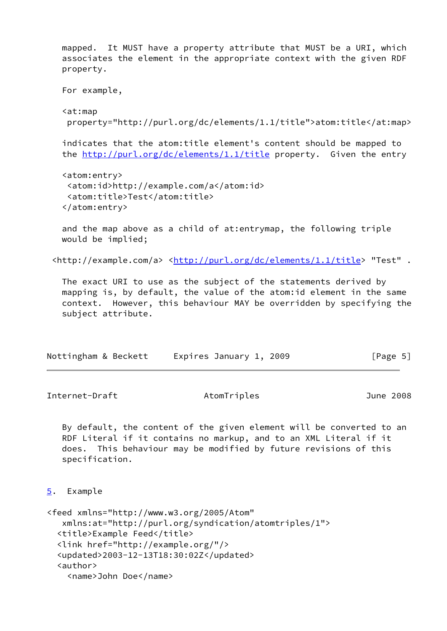mapped. It MUST have a property attribute that MUST be a URI, which associates the element in the appropriate context with the given RDF property.

```
 For example,
 <at:map
  property="http://purl.org/dc/elements/1.1/title">atom:title</at:map>
 indicates that the atom:title element's content should be mapped to
 the http://purl.org/dc/elements/1.1/title property. Given the entry
 <atom:entry>
  <atom:id>http://example.com/a</atom:id>
  <atom:title>Test</atom:title>
 </atom:entry>
```
 and the map above as a child of at:entrymap, the following triple would be implied;

<http://example.com/a> [<http://purl.org/dc/elements/1.1/title>](http://purl.org/dc/elements/1.1/title) "Test" .

 The exact URI to use as the subject of the statements derived by mapping is, by default, the value of the atom:id element in the same context. However, this behaviour MAY be overridden by specifying the subject attribute.

| Nottingham & Beckett | Expires January 1, 2009 | [Page 5] |
|----------------------|-------------------------|----------|
|----------------------|-------------------------|----------|

<span id="page-5-1"></span>Internet-Draft AtomTriples June 2008

 By default, the content of the given element will be converted to an RDF Literal if it contains no markup, and to an XML Literal if it does. This behaviour may be modified by future revisions of this specification.

```
5. Example
```

```
<feed xmlns="http://www.w3.org/2005/Atom"
    xmlns:at="http://purl.org/syndication/atomtriples/1">
   <title>Example Feed</title>
   <link href="http://example.org/"/>
   <updated>2003-12-13T18:30:02Z</updated>
   <author>
     <name>John Doe</name>
```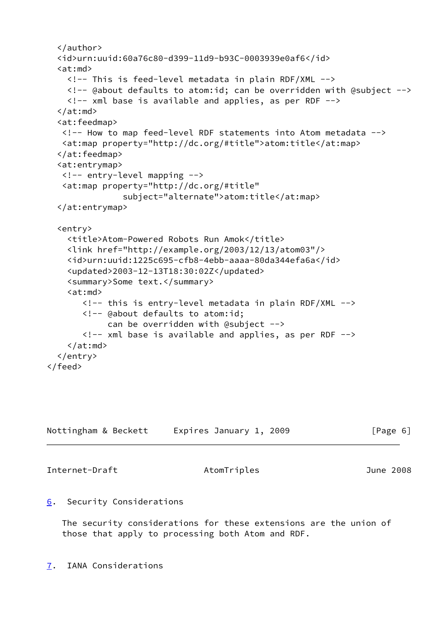```
 </author>
   <id>urn:uuid:60a76c80-d399-11d9-b93C-0003939e0af6</id>
  <at:md> <!-- This is feed-level metadata in plain RDF/XML -->
     <!-- @about defaults to atom:id; can be overridden with @subject -->
     <!-- xml base is available and applies, as per RDF -->
   </at:md>
   <at:feedmap>
    <!-- How to map feed-level RDF statements into Atom metadata -->
    <at:map property="http://dc.org/#title">atom:title</at:map>
   </at:feedmap>
   <at:entrymap>
    <!-- entry-level mapping -->
    <at:map property="http://dc.org/#title"
                subject="alternate">atom:title</at:map>
   </at:entrymap>
   <entry>
     <title>Atom-Powered Robots Run Amok</title>
     <link href="http://example.org/2003/12/13/atom03"/>
     <id>urn:uuid:1225c695-cfb8-4ebb-aaaa-80da344efa6a</id>
     <updated>2003-12-13T18:30:02Z</updated>
     <summary>Some text.</summary>
    <at:md> <!-- this is entry-level metadata in plain RDF/XML -->
        <!-- @about defaults to atom:id;
             can be overridden with @subject -->
        <!-- xml base is available and applies, as per RDF -->
    \langle/at:md\rangle </entry>
</feed>
```

| Nottingham & Beckett | Expires January 1, 2009 | [Page 6] |
|----------------------|-------------------------|----------|
|----------------------|-------------------------|----------|

<span id="page-6-1"></span>Internet-Draft AtomTriples June 2008

## <span id="page-6-0"></span>[6](#page-6-0). Security Considerations

 The security considerations for these extensions are the union of those that apply to processing both Atom and RDF.

<span id="page-6-2"></span>[7](#page-6-2). IANA Considerations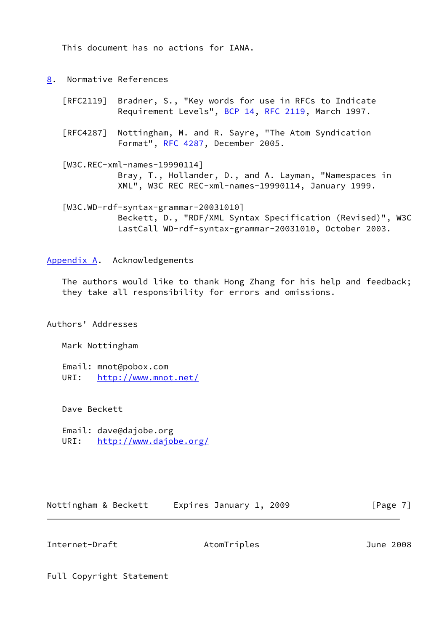This document has no actions for IANA.

- <span id="page-7-0"></span>[8](#page-7-0). Normative References
	- [RFC2119] Bradner, S., "Key words for use in RFCs to Indicate Requirement Levels", [BCP 14](https://datatracker.ietf.org/doc/pdf/bcp14), [RFC 2119](https://datatracker.ietf.org/doc/pdf/rfc2119), March 1997.
	- [RFC4287] Nottingham, M. and R. Sayre, "The Atom Syndication Format", [RFC 4287,](https://datatracker.ietf.org/doc/pdf/rfc4287) December 2005.
	- [W3C.REC-xml-names-19990114] Bray, T., Hollander, D., and A. Layman, "Namespaces in XML", W3C REC REC-xml-names-19990114, January 1999.

<span id="page-7-4"></span><span id="page-7-3"></span> [W3C.WD-rdf-syntax-grammar-20031010] Beckett, D., "RDF/XML Syntax Specification (Revised)", W3C LastCall WD-rdf-syntax-grammar-20031010, October 2003.

<span id="page-7-1"></span>[Appendix A.](#page-7-1) Acknowledgements

 The authors would like to thank Hong Zhang for his help and feedback; they take all responsibility for errors and omissions.

Authors' Addresses

Mark Nottingham

 Email: mnot@pobox.com URI: <http://www.mnot.net/>

Dave Beckett

 Email: dave@dajobe.org URI: <http://www.dajobe.org/>

Nottingham & Beckett Expires January 1, 2009 [Page 7]

<span id="page-7-2"></span>Internet-Draft AtomTriples June 2008

Full Copyright Statement